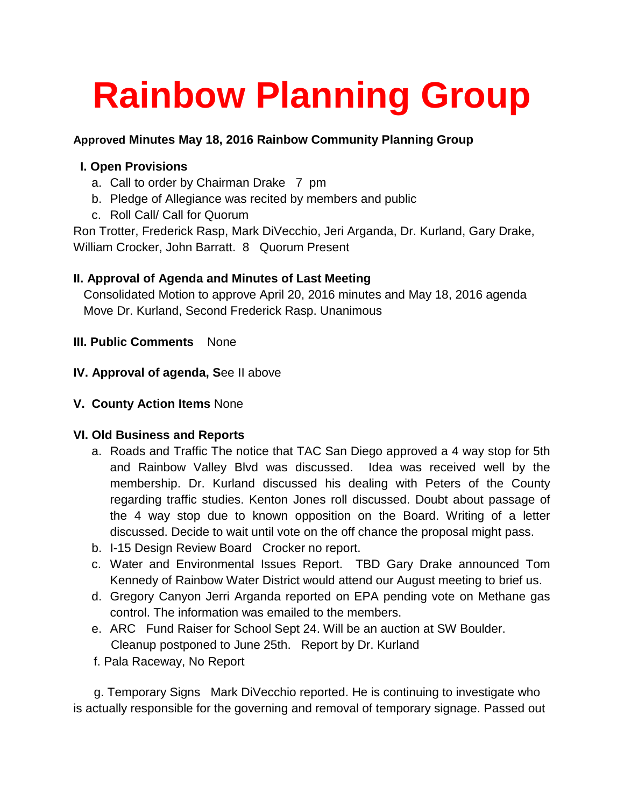# **Rainbow Planning Group**

### **Approved Minutes May 18, 2016 Rainbow Community Planning Group**

## **I. Open Provisions**

- a. Call to order by Chairman Drake 7 pm
- b. Pledge of Allegiance was recited by members and public
- c. Roll Call/ Call for Quorum

Ron Trotter, Frederick Rasp, Mark DiVecchio, Jeri Arganda, Dr. Kurland, Gary Drake, William Crocker, John Barratt. 8 Quorum Present

### **II. Approval of Agenda and Minutes of Last Meeting**

 Consolidated Motion to approve April 20, 2016 minutes and May 18, 2016 agenda Move Dr. Kurland, Second Frederick Rasp. Unanimous

### **III. Public Comments** None

- **IV. Approval of agenda, S**ee II above
- **V. County Action Items** None

### **VI. Old Business and Reports**

- a. Roads and Traffic The notice that TAC San Diego approved a 4 way stop for 5th and Rainbow Valley Blvd was discussed. Idea was received well by the membership. Dr. Kurland discussed his dealing with Peters of the County regarding traffic studies. Kenton Jones roll discussed. Doubt about passage of the 4 way stop due to known opposition on the Board. Writing of a letter discussed. Decide to wait until vote on the off chance the proposal might pass.
- b. I-15 Design Review Board Crocker no report.
- c. Water and Environmental Issues Report. TBD Gary Drake announced Tom Kennedy of Rainbow Water District would attend our August meeting to brief us.
- d. Gregory Canyon Jerri Arganda reported on EPA pending vote on Methane gas control. The information was emailed to the members.
- e. ARC Fund Raiser for School Sept 24. Will be an auction at SW Boulder. Cleanup postponed to June 25th. Report by Dr. Kurland
- f. Pala Raceway, No Report

 g. Temporary Signs Mark DiVecchio reported. He is continuing to investigate who is actually responsible for the governing and removal of temporary signage. Passed out